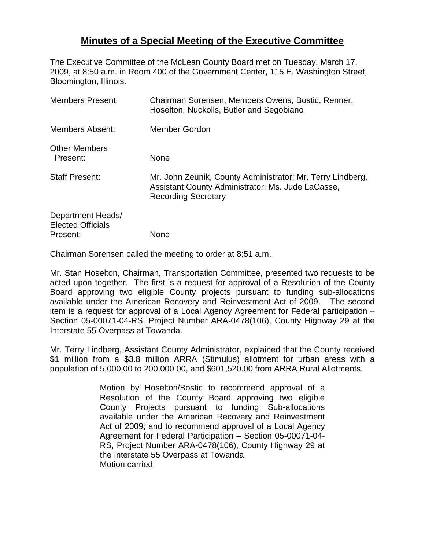## **Minutes of a Special Meeting of the Executive Committee**

The Executive Committee of the McLean County Board met on Tuesday, March 17, 2009, at 8:50 a.m. in Room 400 of the Government Center, 115 E. Washington Street, Bloomington, Illinois.

| <b>Members Present:</b>                                   | Chairman Sorensen, Members Owens, Bostic, Renner,<br>Hoselton, Nuckolls, Butler and Segobiano                                                 |
|-----------------------------------------------------------|-----------------------------------------------------------------------------------------------------------------------------------------------|
| <b>Members Absent:</b>                                    | <b>Member Gordon</b>                                                                                                                          |
| <b>Other Members</b><br>Present:                          | None                                                                                                                                          |
| <b>Staff Present:</b>                                     | Mr. John Zeunik, County Administrator; Mr. Terry Lindberg,<br>Assistant County Administrator; Ms. Jude LaCasse,<br><b>Recording Secretary</b> |
| Department Heads/<br><b>Elected Officials</b><br>Present: | None                                                                                                                                          |

Chairman Sorensen called the meeting to order at 8:51 a.m.

Mr. Stan Hoselton, Chairman, Transportation Committee, presented two requests to be acted upon together. The first is a request for approval of a Resolution of the County Board approving two eligible County projects pursuant to funding sub-allocations available under the American Recovery and Reinvestment Act of 2009. The second item is a request for approval of a Local Agency Agreement for Federal participation – Section 05-00071-04-RS, Project Number ARA-0478(106), County Highway 29 at the Interstate 55 Overpass at Towanda.

Mr. Terry Lindberg, Assistant County Administrator, explained that the County received \$1 million from a \$3.8 million ARRA (Stimulus) allotment for urban areas with a population of 5,000.00 to 200,000.00, and \$601,520.00 from ARRA Rural Allotments.

> Motion by Hoselton/Bostic to recommend approval of a Resolution of the County Board approving two eligible County Projects pursuant to funding Sub-allocations available under the American Recovery and Reinvestment Act of 2009; and to recommend approval of a Local Agency Agreement for Federal Participation – Section 05-00071-04- RS, Project Number ARA-0478(106), County Highway 29 at the Interstate 55 Overpass at Towanda. Motion carried.